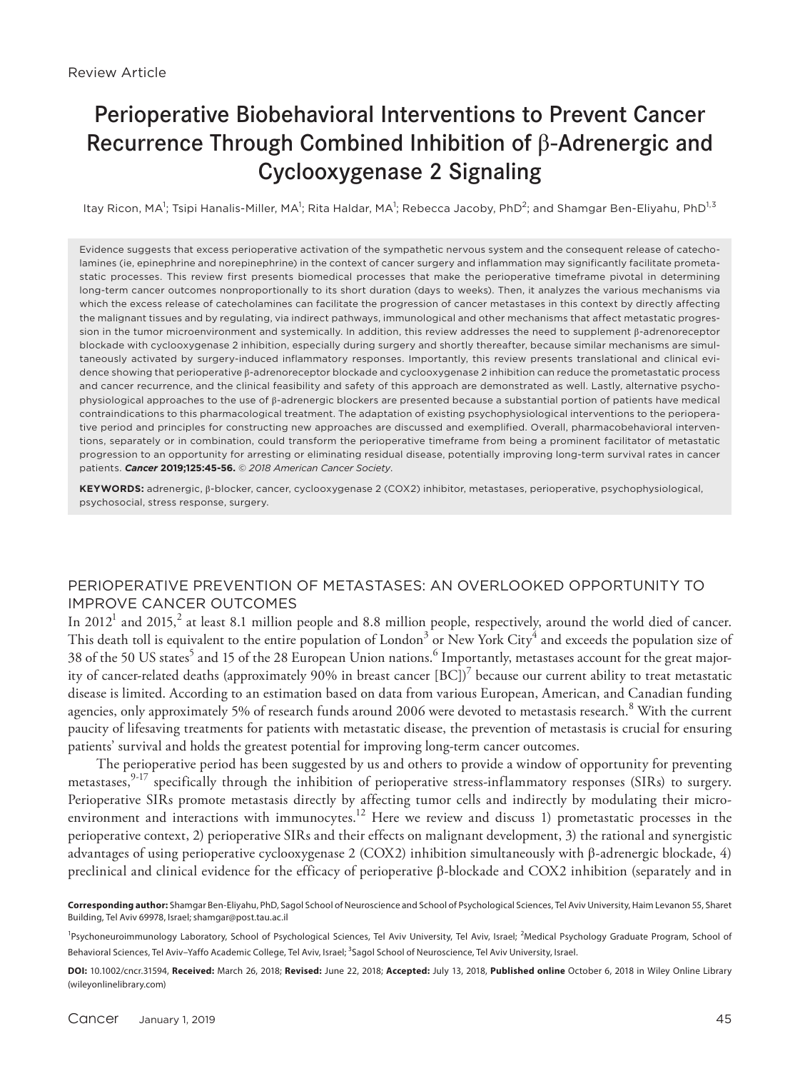# Perioperative Biobehavioral Interventions to Prevent Cancer Recurrence Through Combined Inhibition of β-Adrenergic and Cyclooxygenase 2 Signaling

ltay Ricon, MA<sup>1</sup>; Tsipi Hanalis-Miller, MA<sup>1</sup>; Rita Haldar, MA<sup>1</sup>; Rebecca Jacoby, PhD<sup>2</sup>; and Shamgar Ben-Eliyahu, PhD<sup>1,3</sup>

Evidence suggests that excess perioperative activation of the sympathetic nervous system and the consequent release of catecholamines (ie, epinephrine and norepinephrine) in the context of cancer surgery and inflammation may significantly facilitate prometastatic processes. This review first presents biomedical processes that make the perioperative timeframe pivotal in determining long-term cancer outcomes nonproportionally to its short duration (days to weeks). Then, it analyzes the various mechanisms via which the excess release of catecholamines can facilitate the progression of cancer metastases in this context by directly affecting the malignant tissues and by regulating, via indirect pathways, immunological and other mechanisms that affect metastatic progression in the tumor microenvironment and systemically. In addition, this review addresses the need to supplement β-adrenoreceptor blockade with cyclooxygenase 2 inhibition, especially during surgery and shortly thereafter, because similar mechanisms are simultaneously activated by surgery-induced inflammatory responses. Importantly, this review presents translational and clinical evidence showing that perioperative β-adrenoreceptor blockade and cyclooxygenase 2 inhibition can reduce the prometastatic process and cancer recurrence, and the clinical feasibility and safety of this approach are demonstrated as well. Lastly, alternative psychophysiological approaches to the use of β-adrenergic blockers are presented because a substantial portion of patients have medical contraindications to this pharmacological treatment. The adaptation of existing psychophysiological interventions to the perioperative period and principles for constructing new approaches are discussed and exemplified. Overall, pharmacobehavioral interventions, separately or in combination, could transform the perioperative timeframe from being a prominent facilitator of metastatic progression to an opportunity for arresting or eliminating residual disease, potentially improving long-term survival rates in cancer patients. *Cancer* **2019;125:45-56.** © *2018 American Cancer Society*.

**KEYWORDS:** adrenergic, β-blocker, cancer, cyclooxygenase 2 (COX2) inhibitor, metastases, perioperative, psychophysiological, psychosocial, stress response, surgery.

# PERIOPERATIVE PREVENTION OF METASTASES: AN OVERLOOKED OPPORTUNITY TO IMPROVE CANCER OUTCOMES

In 2012<sup>1</sup> and 2015,<sup>2</sup> at least 8.1 million people and 8.8 million people, respectively, around the world died of cancer. This death toll is equivalent to the entire population of London $^3$  or New York City $^4$  and exceeds the population size of 38 of the 50 US states $^5$  and 15 of the 28 European Union nations. $^6$  Importantly, metastases account for the great majority of cancer-related deaths (approximately 90% in breast cancer  $[BC])^7$  because our current ability to treat metastatic disease is limited. According to an estimation based on data from various European, American, and Canadian funding agencies, only approximately 5% of research funds around 2006 were devoted to metastasis research.<sup>8</sup> With the current paucity of lifesaving treatments for patients with metastatic disease, the prevention of metastasis is crucial for ensuring patients' survival and holds the greatest potential for improving long-term cancer outcomes.

The perioperative period has been suggested by us and others to provide a window of opportunity for preventing metastases,<sup>9-17</sup> specifically through the inhibition of perioperative stress-inflammatory responses (SIRs) to surgery. Perioperative SIRs promote metastasis directly by affecting tumor cells and indirectly by modulating their microenvironment and interactions with immunocytes.<sup>12</sup> Here we review and discuss 1) prometastatic processes in the perioperative context, 2) perioperative SIRs and their effects on malignant development, 3) the rational and synergistic advantages of using perioperative cyclooxygenase 2 (COX2) inhibition simultaneously with β-adrenergic blockade, 4) preclinical and clinical evidence for the efficacy of perioperative β-blockade and COX2 inhibition (separately and in

**Corresponding author:** Shamgar Ben-Eliyahu, PhD, Sagol School of Neuroscience and School of Psychological Sciences, Tel Aviv University, Haim Levanon 55, Sharet Building, Tel Aviv 69978, Israel; shamgar@post.tau.ac.il

<sup>&</sup>lt;sup>1</sup>Psychoneuroimmunology Laboratory, School of Psychological Sciences, Tel Aviv University, Tel Aviv, Israel; <sup>2</sup>Medical Psychology Graduate Program, School of Behavioral Sciences, Tel Aviv–Yaffo Academic College, Tel Aviv, Israel; <sup>3</sup>Sagol School of Neuroscience, Tel Aviv University, Israel.

**DOI:** 10.1002/cncr.31594, **Received:** March 26, 2018; **Revised:** June 22, 2018; **Accepted:** July 13, 2018, **Published online** October 6, 2018 in Wiley Online Library (wileyonlinelibrary.com)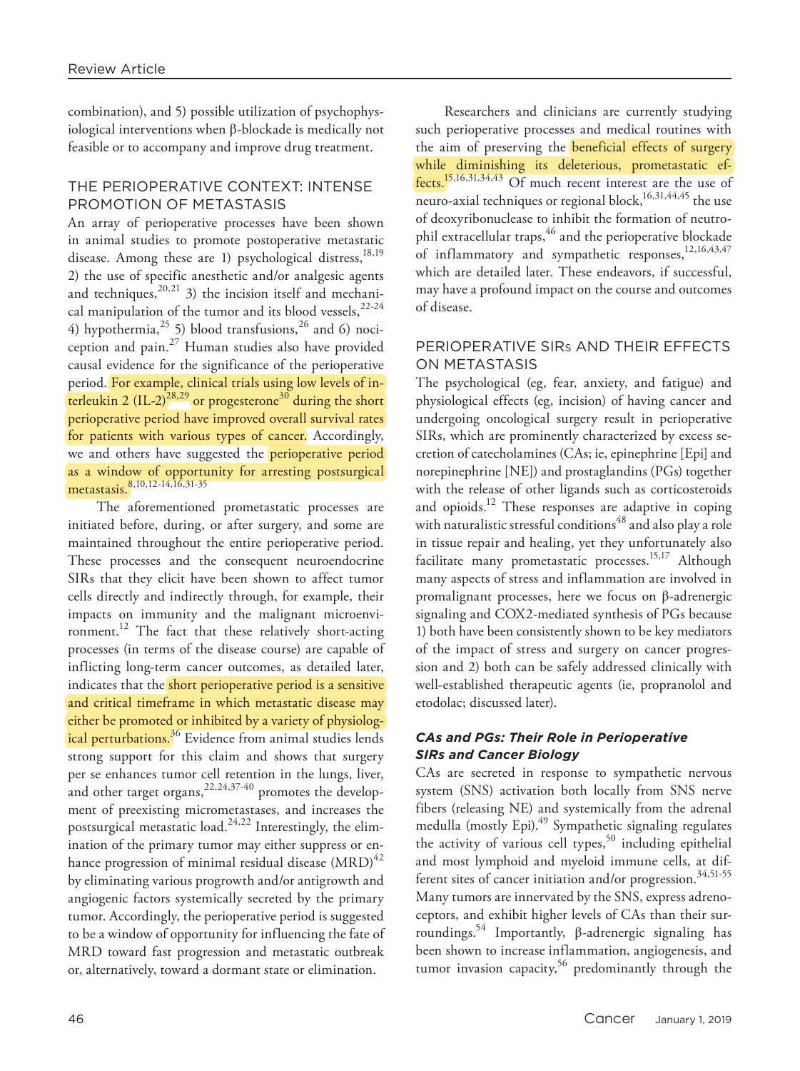combination), and 5) possible utilization of psychophysiological interventions when β-blockade is medically not feasible or to accompany and improve drug treatment.

## THE PERIOPERATIVE CONTEXT: INTENSE PROMOTION OF METASTASIS

An array of perioperative processes have been shown in animal studies to promote postoperative metastatic disease. Among these are 1) psychological distress, $^{18,19}$ 2) the use of specific anesthetic and/or analgesic agents and techniques,<sup>20,21</sup> 3) the incision itself and mechanical manipulation of the tumor and its blood vessels,  $22-24$ 4) hypothermia,  $25$  5) blood transfusions,  $26$  and 6) nociception and pain. $^{27}$  Human studies also have provided causal evidence for the significance of the perioperative period. For example, clinical trials using low levels of interleukin 2 (IL-2)<sup>28,29</sup> or progesterone<sup>30</sup> during the short perioperative period have improved overall survival rates for patients with various types of cancer. Accordingly, we and others have suggested the **perioperative period** as a window of opportunity for arresting postsurgical metastasis.<sup>8,10,12-14,16,31-35</sup>

The aforementioned prometastatic processes are initiated before, during, or after surgery, and some are maintained throughout the entire perioperative period. These processes and the consequent neuroendocrine SIRs that they elicit have been shown to affect tumor cells directly and indirectly through, for example, their impacts on immunity and the malignant microenvironment.<sup>12</sup> The fact that these relatively short-acting processes (in terms of the disease course) are capable of inflicting long-term cancer outcomes, as detailed later, indicates that the short perioperative period is a sensitive and critical timeframe in which metastatic disease may either be promoted or inhibited by a variety of physiological perturbations.<sup>36</sup> Evidence from animal studies lends strong support for this claim and shows that surgery per se enhances tumor cell retention in the lungs, liver, and other target organs,<sup>22,24,37-40</sup> promotes the development of preexisting micrometastases, and increases the postsurgical metastatic load.<sup>24,22</sup> Interestingly, the elimination of the primary tumor may either suppress or enhance progression of minimal residual disease  $(MRD)^{42}$ by eliminating various progrowth and/or antigrowth and angiogenic factors systemically secreted by the primary tumor. Accordingly, the perioperative period is suggested to be a window of opportunity for influencing the fate of MRD toward fast progression and metastatic outbreak or, alternatively, toward a dormant state or elimination.

Researchers and clinicians are currently studying such perioperative processes and medical routines with the aim of preserving the **beneficial effects** of surgery while diminishing its deleterious, prometastatic effects.15,16,31,34,43 Of much recent interest are the use of neuro-axial techniques or regional block, $16,31,44,45$  the use of deoxyribonuclease to inhibit the formation of neutrophil extracellular traps,<sup>46</sup> and the perioperative blockade of inflammatory and sympathetic responses,<sup>12,16,43,47</sup> which are detailed later. These endeavors, if successful, may have a profound impact on the course and outcomes of disease.

## PERIOPERATIVE SIRs AND THEIR EFFECTS ON METASTASIS

The psychological (eg, fear, anxiety, and fatigue) and physiological effects (eg, incision) of having cancer and undergoing oncological surgery result in perioperative SIRs, which are prominently characterized by excess secretion of catecholamines (CAs; ie, epinephrine [Epi] and norepinephrine [NE]) and prostaglandins (PGs) together with the release of other ligands such as corticosteroids and opioids.<sup>12</sup> These responses are adaptive in coping with naturalistic stressful conditions<sup>48</sup> and also play a role in tissue repair and healing, yet they unfortunately also facilitate many prometastatic processes.<sup>15,17</sup> Although many aspects of stress and inflammation are involved in promalignant processes, here we focus on β-adrenergic signaling and COX2-mediated synthesis of PGs because 1) both have been consistently shown to be key mediators of the impact of stress and surgery on cancer progression and 2) both can be safely addressed clinically with well-established therapeutic agents (ie, propranolol and etodolac; discussed later).

# *CAs and PGs: Their Role in Perioperative SIRs and Cancer Biology*

CAs are secreted in response to sympathetic nervous system (SNS) activation both locally from SNS nerve fibers (releasing NE) and systemically from the adrenal medulla (mostly Epi). $49$  Sympathetic signaling regulates the activity of various cell types,  $50$  including epithelial and most lymphoid and myeloid immune cells, at different sites of cancer initiation and/or progression.<sup>34,51-55</sup> Many tumors are innervated by the SNS, express adrenoceptors, and exhibit higher levels of CAs than their surroundings.<sup>54</sup> Importantly,  $β$ -adrenergic signaling has been shown to increase inflammation, angiogenesis, and tumor invasion capacity,<sup>56</sup> predominantly through the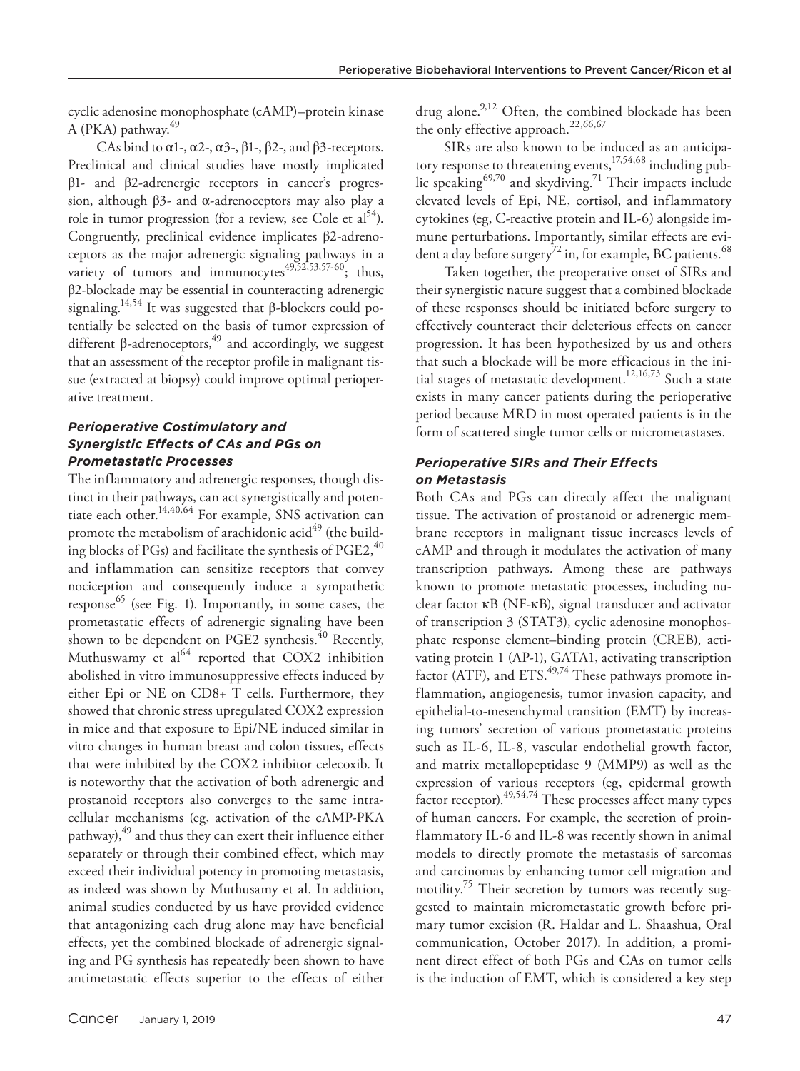cyclic adenosine monophosphate (cAMP)–protein kinase A (PKA) pathway.<sup>49</sup>

CAs bind to  $\alpha$ 1-,  $\alpha$ 2-,  $\alpha$ 3-,  $\beta$ 1-,  $\beta$ 2-, and  $\beta$ 3-receptors. Preclinical and clinical studies have mostly implicated β1- and β2-adrenergic receptors in cancer's progression, although β3- and α-adrenoceptors may also play a role in tumor progression (for a review, see Cole et  $a^{54}$ ). Congruently, preclinical evidence implicates β2-adrenoceptors as the major adrenergic signaling pathways in a variety of tumors and immunocytes<sup>49,52,53,57-60</sup>; thus, β2-blockade may be essential in counteracting adrenergic signaling.<sup>14,54</sup> It was suggested that β-blockers could potentially be selected on the basis of tumor expression of different β-adrenoceptors,49 and accordingly, we suggest that an assessment of the receptor profile in malignant tissue (extracted at biopsy) could improve optimal perioperative treatment.

# *Perioperative Costimulatory and Synergistic Effects of CAs and PGs on Prometastatic Processes*

The inflammatory and adrenergic responses, though distinct in their pathways, can act synergistically and potentiate each other.14,40,64 For example, SNS activation can promote the metabolism of arachidonic acid<sup>49</sup> (the building blocks of PGs) and facilitate the synthesis of PGE2, $^{40}$ and inflammation can sensitize receptors that convey nociception and consequently induce a sympathetic response $^{65}$  (see Fig. 1). Importantly, in some cases, the prometastatic effects of adrenergic signaling have been shown to be dependent on PGE2 synthesis.<sup>40</sup> Recently, Muthuswamy et  $al^{64}$  reported that COX2 inhibition abolished in vitro immunosuppressive effects induced by either Epi or NE on CD8+ T cells. Furthermore, they showed that chronic stress upregulated COX2 expression in mice and that exposure to Epi/NE induced similar in vitro changes in human breast and colon tissues, effects that were inhibited by the COX2 inhibitor celecoxib. It is noteworthy that the activation of both adrenergic and prostanoid receptors also converges to the same intracellular mechanisms (eg, activation of the cAMP-PKA pathway), $49$  and thus they can exert their influence either separately or through their combined effect, which may exceed their individual potency in promoting metastasis, as indeed was shown by Muthusamy et al. In addition, animal studies conducted by us have provided evidence that antagonizing each drug alone may have beneficial effects, yet the combined blockade of adrenergic signaling and PG synthesis has repeatedly been shown to have antimetastatic effects superior to the effects of either drug alone.<sup>9,12</sup> Often, the combined blockade has been the only effective approach.<sup>22,66,67</sup>

SIRs are also known to be induced as an anticipatory response to threatening events,  $^{17,54,68}$  including public speaking<sup>69,70</sup> and skydiving.<sup>71</sup> Their impacts include elevated levels of Epi, NE, cortisol, and inflammatory cytokines (eg, C-reactive protein and IL-6) alongside immune perturbations. Importantly, similar effects are evident a day before surgery<sup>72</sup> in, for example, BC patients.<sup>68</sup>

Taken together, the preoperative onset of SIRs and their synergistic nature suggest that a combined blockade of these responses should be initiated before surgery to effectively counteract their deleterious effects on cancer progression. It has been hypothesized by us and others that such a blockade will be more efficacious in the initial stages of metastatic development.<sup>12,16,73</sup> Such a state exists in many cancer patients during the perioperative period because MRD in most operated patients is in the form of scattered single tumor cells or micrometastases.

## *Perioperative SIRs and Their Effects on Metastasis*

Both CAs and PGs can directly affect the malignant tissue. The activation of prostanoid or adrenergic membrane receptors in malignant tissue increases levels of cAMP and through it modulates the activation of many transcription pathways. Among these are pathways known to promote metastatic processes, including nuclear factor κB (NF-κB), signal transducer and activator of transcription 3 (STAT3), cyclic adenosine monophosphate response element–binding protein (CREB), activating protein 1 (AP-1), GATA1, activating transcription factor (ATF), and  $ETS<sup>49,74</sup>$  These pathways promote inflammation, angiogenesis, tumor invasion capacity, and epithelial-to-mesenchymal transition (EMT) by increasing tumors' secretion of various prometastatic proteins such as IL-6, IL-8, vascular endothelial growth factor, and matrix metallopeptidase 9 (MMP9) as well as the expression of various receptors (eg, epidermal growth factor receptor).<sup>49,54,74</sup> These processes affect many types of human cancers. For example, the secretion of proinflammatory IL-6 and IL-8 was recently shown in animal models to directly promote the metastasis of sarcomas and carcinomas by enhancing tumor cell migration and motility.<sup>75</sup> Their secretion by tumors was recently suggested to maintain micrometastatic growth before primary tumor excision (R. Haldar and L. Shaashua, Oral communication, October 2017). In addition, a prominent direct effect of both PGs and CAs on tumor cells is the induction of EMT, which is considered a key step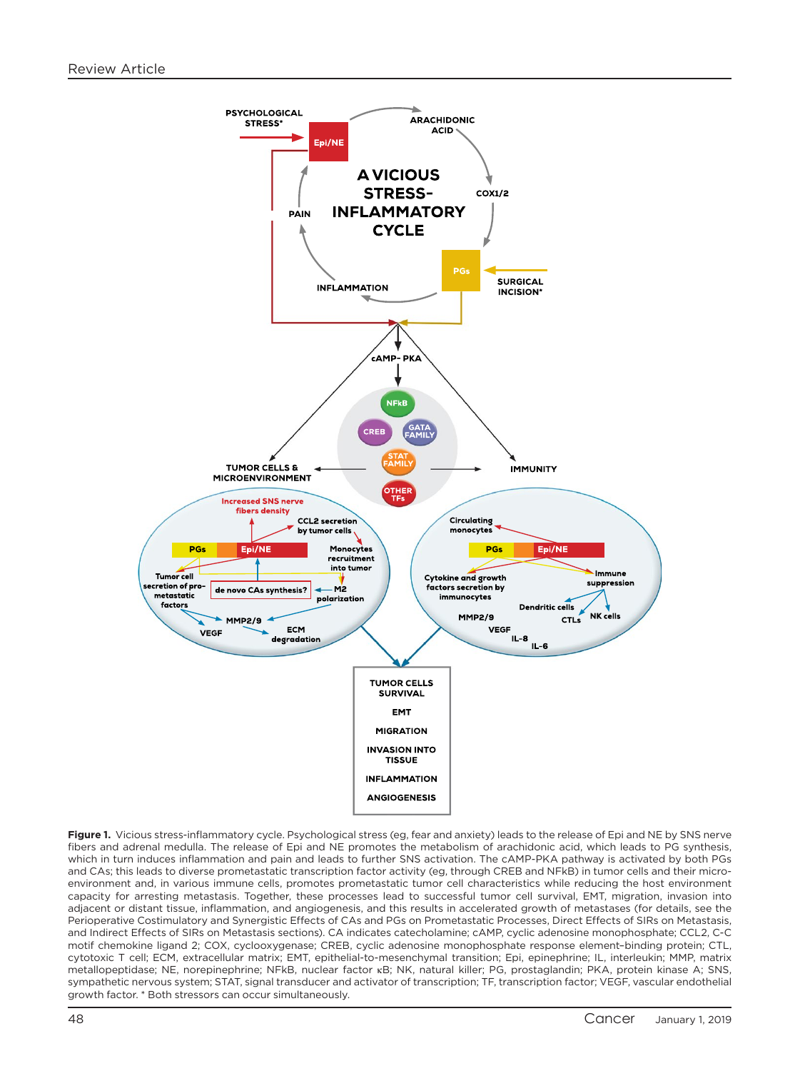

Figure 1. Vicious stress-inflammatory cycle. Psychological stress (eg, fear and anxiety) leads to the release of Epi and NE by SNS nerve fibers and adrenal medulla. The release of Epi and NE promotes the metabolism of arachidonic acid, which leads to PG synthesis, which in turn induces inflammation and pain and leads to further SNS activation. The cAMP-PKA pathway is activated by both PGs and CAs; this leads to diverse prometastatic transcription factor activity (eg, through CREB and NFkB) in tumor cells and their microenvironment and, in various immune cells, promotes prometastatic tumor cell characteristics while reducing the host environment capacity for arresting metastasis. Together, these processes lead to successful tumor cell survival, EMT, migration, invasion into adjacent or distant tissue, inflammation, and angiogenesis, and this results in accelerated growth of metastases (for details, see the Perioperative Costimulatory and Synergistic Effects of CAs and PGs on Prometastatic Processes, Direct Effects of SIRs on Metastasis, and Indirect Effects of SIRs on Metastasis sections). CA indicates catecholamine; cAMP, cyclic adenosine monophosphate; CCL2, C-C motif chemokine ligand 2; COX, cyclooxygenase; CREB, cyclic adenosine monophosphate response element–binding protein; CTL, cytotoxic T cell; ECM, extracellular matrix; EMT, epithelial-to-mesenchymal transition; Epi, epinephrine; IL, interleukin; MMP, matrix metallopeptidase; NE, norepinephrine; NFkB, nuclear factor κB; NK, natural killer; PG, prostaglandin; PKA, protein kinase A; SNS, sympathetic nervous system; STAT, signal transducer and activator of transcription; TF, transcription factor; VEGF, vascular endothelial growth factor. \* Both stressors can occur simultaneously.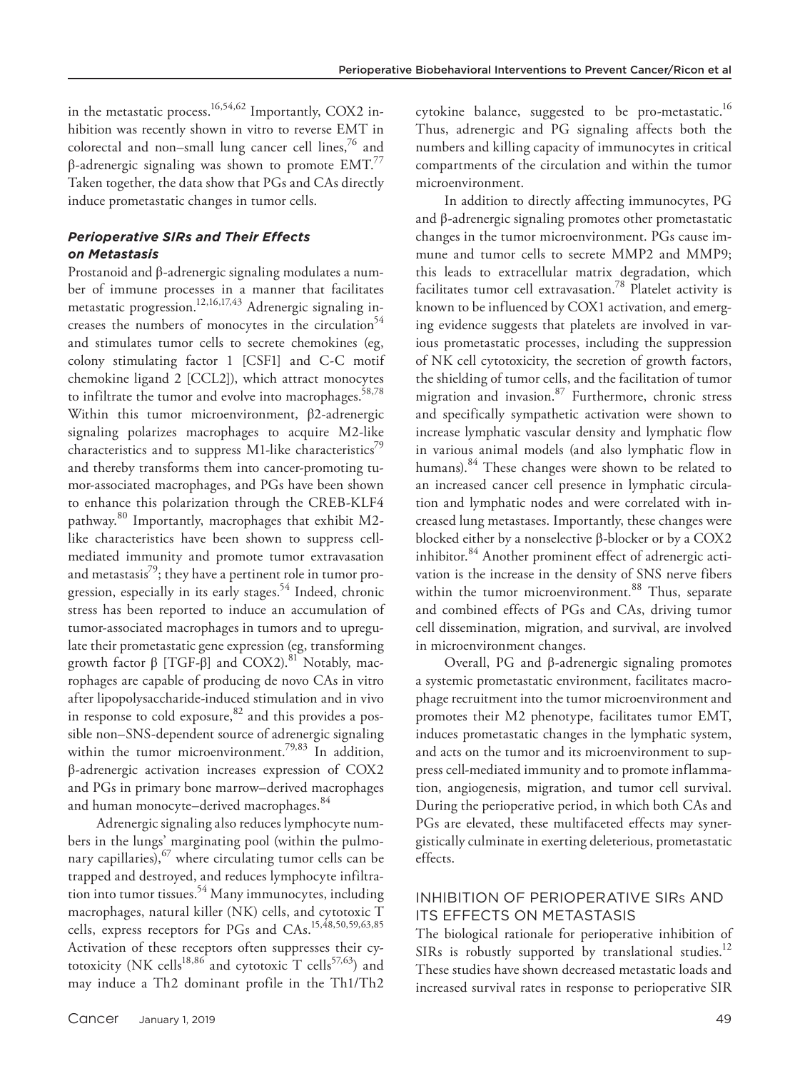in the metastatic process.<sup>16,54,62</sup> Importantly, COX2 inhibition was recently shown in vitro to reverse EMT in colorectal and non–small lung cancer cell lines, $\frac{7}{6}$  and β-adrenergic signaling was shown to promote  $EMT<sup>77</sup>$ Taken together, the data show that PGs and CAs directly induce prometastatic changes in tumor cells.

#### *Perioperative SIRs and Their Effects on Metastasis*

Prostanoid and β-adrenergic signaling modulates a number of immune processes in a manner that facilitates metastatic progression.12,16,17,43 Adrenergic signaling increases the numbers of monocytes in the circulation<sup>54</sup> and stimulates tumor cells to secrete chemokines (eg, colony stimulating factor 1 [CSF1] and C-C motif chemokine ligand 2 [CCL2]), which attract monocytes to infiltrate the tumor and evolve into macrophages.<sup>58,78</sup> Within this tumor microenvironment, β2-adrenergic signaling polarizes macrophages to acquire M2-like characteristics and to suppress M1-like characteristics<sup> $\prime$ 9</sup> and thereby transforms them into cancer-promoting tumor-associated macrophages, and PGs have been shown to enhance this polarization through the CREB-KLF4 pathway.<sup>80</sup> Importantly, macrophages that exhibit M2like characteristics have been shown to suppress cellmediated immunity and promote tumor extravasation and metastasis<sup>79</sup>; they have a pertinent role in tumor progression, especially in its early stages.<sup>54</sup> Indeed, chronic stress has been reported to induce an accumulation of tumor-associated macrophages in tumors and to upregulate their prometastatic gene expression (eg, transforming growth factor  $β$  [TGF- $β$ ] and COX2).<sup>81</sup> Notably, macrophages are capable of producing de novo CAs in vitro after lipopolysaccharide-induced stimulation and in vivo in response to cold exposure, $82$  and this provides a possible non–SNS-dependent source of adrenergic signaling within the tumor microenvironment.<sup>79,83</sup> In addition, β-adrenergic activation increases expression of COX2 and PGs in primary bone marrow–derived macrophages and human monocyte–derived macrophages.<sup>84</sup>

Adrenergic signaling also reduces lymphocyte numbers in the lungs' marginating pool (within the pulmonary capillaries),  $67$  where circulating tumor cells can be trapped and destroyed, and reduces lymphocyte infiltration into tumor tissues.<sup>54</sup> Many immunocytes, including macrophages, natural killer (NK) cells, and cytotoxic T cells, express receptors for PGs and CAs.15,48,50,59,63,85 Activation of these receptors often suppresses their cytotoxicity (NK cells<sup>18,86</sup> and cytotoxic T cells<sup>57,63</sup>) and may induce a Th2 dominant profile in the Th1/Th2

cytokine balance, suggested to be pro-metastatic.<sup>16</sup> Thus, adrenergic and PG signaling affects both the numbers and killing capacity of immunocytes in critical compartments of the circulation and within the tumor microenvironment.

In addition to directly affecting immunocytes, PG and β-adrenergic signaling promotes other prometastatic changes in the tumor microenvironment. PGs cause immune and tumor cells to secrete MMP2 and MMP9; this leads to extracellular matrix degradation, which facilitates tumor cell extravasation.<sup>78</sup> Platelet activity is known to be influenced by COX1 activation, and emerging evidence suggests that platelets are involved in various prometastatic processes, including the suppression of NK cell cytotoxicity, the secretion of growth factors, the shielding of tumor cells, and the facilitation of tumor migration and invasion.87 Furthermore, chronic stress and specifically sympathetic activation were shown to increase lymphatic vascular density and lymphatic flow in various animal models (and also lymphatic flow in humans).<sup>84</sup> These changes were shown to be related to an increased cancer cell presence in lymphatic circulation and lymphatic nodes and were correlated with increased lung metastases. Importantly, these changes were blocked either by a nonselective β-blocker or by a COX2 inhibitor.<sup>84</sup> Another prominent effect of adrenergic activation is the increase in the density of SNS nerve fibers within the tumor microenvironment.<sup>88</sup> Thus, separate and combined effects of PGs and CAs, driving tumor cell dissemination, migration, and survival, are involved in microenvironment changes.

Overall, PG and β-adrenergic signaling promotes a systemic prometastatic environment, facilitates macrophage recruitment into the tumor microenvironment and promotes their M2 phenotype, facilitates tumor EMT, induces prometastatic changes in the lymphatic system, and acts on the tumor and its microenvironment to suppress cell-mediated immunity and to promote inflammation, angiogenesis, migration, and tumor cell survival. During the perioperative period, in which both CAs and PGs are elevated, these multifaceted effects may synergistically culminate in exerting deleterious, prometastatic effects.

## INHIBITION OF PERIOPERATIVE SIRs AND ITS EFFECTS ON METASTASIS

The biological rationale for perioperative inhibition of SIRs is robustly supported by translational studies.<sup>12</sup> These studies have shown decreased metastatic loads and increased survival rates in response to perioperative SIR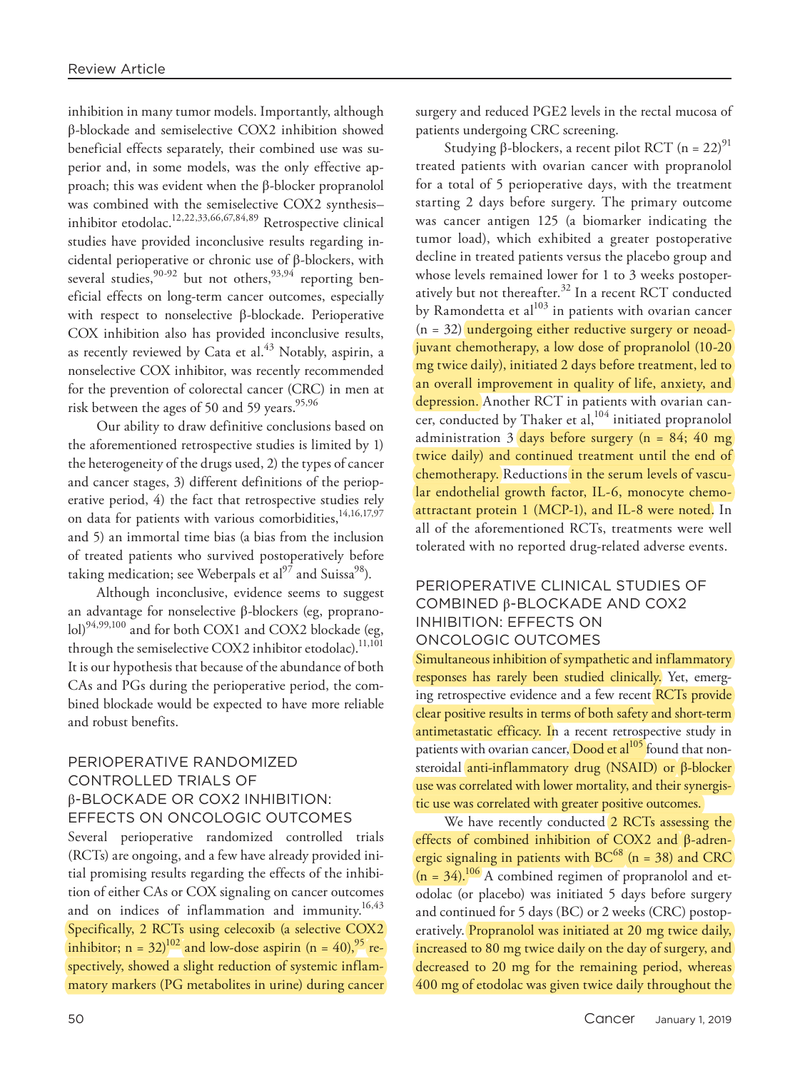inhibition in many tumor models. Importantly, although β-blockade and semiselective COX2 inhibition showed beneficial effects separately, their combined use was superior and, in some models, was the only effective approach; this was evident when the β-blocker propranolol was combined with the semiselective COX2 synthesis– inhibitor etodolac.12,22,33,66,67,84,89 Retrospective clinical studies have provided inconclusive results regarding incidental perioperative or chronic use of β-blockers, with several studies,  $90-92$  but not others,  $93,94$  reporting beneficial effects on long-term cancer outcomes, especially with respect to nonselective β-blockade. Perioperative COX inhibition also has provided inconclusive results, as recently reviewed by Cata et al.<sup>43</sup> Notably, aspirin, a nonselective COX inhibitor, was recently recommended for the prevention of colorectal cancer (CRC) in men at risk between the ages of 50 and 59 years. $95,96$ 

Our ability to draw definitive conclusions based on the aforementioned retrospective studies is limited by 1) the heterogeneity of the drugs used, 2) the types of cancer and cancer stages, 3) different definitions of the perioperative period, 4) the fact that retrospective studies rely on data for patients with various comorbidities,<sup>14,16,17,97</sup> and 5) an immortal time bias (a bias from the inclusion of treated patients who survived postoperatively before taking medication; see Weberpals et al<sup>97</sup> and Suissa<sup>98</sup>).

Although inconclusive, evidence seems to suggest an advantage for nonselective β-blockers (eg, propranolol)<sup>94,99,100</sup> and for both COX1 and COX2 blockade (eg, through the semiselective COX2 inhibitor etodolac).<sup>11,101</sup> It is our hypothesis that because of the abundance of both CAs and PGs during the perioperative period, the combined blockade would be expected to have more reliable and robust benefits.

# PERIOPERATIVE RANDOMIZED CONTROLLED TRIALS OF β-BLOCKADE OR COX2 INHIBITION: EFFECTS ON ONCOLOGIC OUTCOMES

Several perioperative randomized controlled trials (RCTs) are ongoing, and a few have already provided initial promising results regarding the effects of the inhibition of either CAs or COX signaling on cancer outcomes and on indices of inflammation and immunity.<sup>16,43</sup> Specifically, 2 RCTs using celecoxib (a selective COX2 inhibitor;  $n = 32$ <sup>102</sup> and low-dose aspirin ( $n = 40$ ),  $^{95}$  respectively, showed a slight reduction of systemic inflammatory markers (PG metabolites in urine) during cancer surgery and reduced PGE2 levels in the rectal mucosa of patients undergoing CRC screening.

Studying β-blockers, a recent pilot RCT  $(n = 22)^{91}$ treated patients with ovarian cancer with propranolol for a total of 5 perioperative days, with the treatment starting 2 days before surgery. The primary outcome was cancer antigen 125 (a biomarker indicating the tumor load), which exhibited a greater postoperative decline in treated patients versus the placebo group and whose levels remained lower for 1 to 3 weeks postoperatively but not thereafter.<sup>32</sup> In a recent RCT conducted by Ramondetta et  $al^{103}$  in patients with ovarian cancer  $(n = 32)$  undergoing either reductive surgery or neoadjuvant chemotherapy, a low dose of propranolol (10-20 mg twice daily), initiated 2 days before treatment, led to an overall improvement in quality of life, anxiety, and depression. Another RCT in patients with ovarian cancer, conducted by Thaker et al, $^{104}$  initiated propranolol administration  $3$  days before surgery (n = 84; 40 mg) twice daily) and continued treatment until the end of chemotherapy. Reductions in the serum levels of vascular endothelial growth factor, IL-6, monocyte chemoattractant protein 1 (MCP-1), and IL-8 were noted. In all of the aforementioned RCTs, treatments were well tolerated with no reported drug-related adverse events.

# PERIOPERATIVE CLINICAL STUDIES OF COMBINED β-BLOCKADE AND COX2 INHIBITION: EFFECTS ON ONCOLOGIC OUTCOMES

Simultaneous inhibition of sympathetic and inflammatory responses has rarely been studied clinically. Yet, emerging retrospective evidence and a few recent RCTs provide clear positive results in terms of both safety and short-term antimetastatic efficacy. In a recent retrospective study in patients with ovarian cancer, Dood et al<sup>105</sup> found that nonsteroidal anti-inflammatory drug (NSAID) or β-blocker use was correlated with lower mortality, and their synergistic use was correlated with greater positive outcomes.

We have recently conducted 2 RCTs assessing the effects of combined inhibition of COX2 and β-adrenergic signaling in patients with  $BC^{68}$  (n = 38) and CRC  $(n = 34).^{106}$  A combined regimen of propranolol and etodolac (or placebo) was initiated 5 days before surgery and continued for 5 days (BC) or 2 weeks (CRC) postoperatively. Propranolol was initiated at 20 mg twice daily, increased to 80 mg twice daily on the day of surgery, and decreased to 20 mg for the remaining period, whereas 400 mg of etodolac was given twice daily throughout the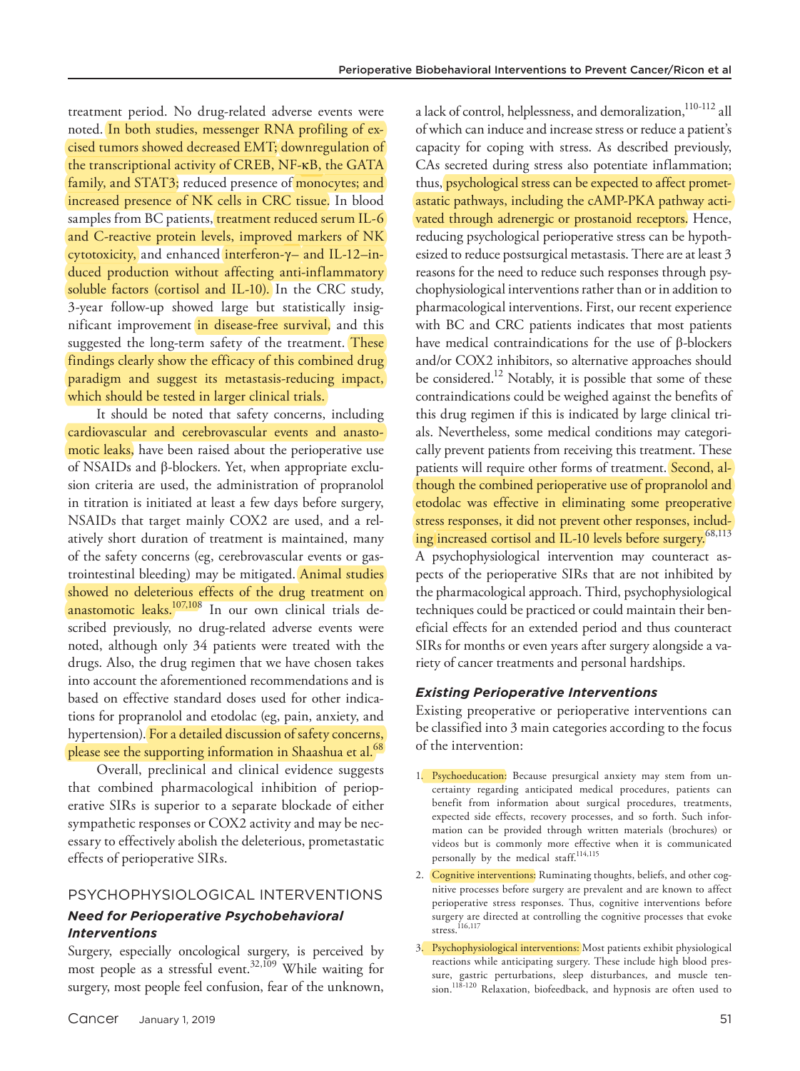treatment period. No drug-related adverse events were noted. In both studies, messenger RNA profiling of excised tumors showed decreased EMT; downregulation of the transcriptional activity of CREB, NF-κB, the GATA family, and STAT3; reduced presence of monocytes; and increased presence of NK cells in CRC tissue. In blood samples from BC patients, treatment reduced serum IL-6 and C-reactive protein levels, improved markers of NK cytotoxicity, and enhanced interferon-γ– and IL-12–induced production without affecting anti-inflammatory soluble factors (cortisol and IL-10). In the CRC study, 3-year follow-up showed large but statistically insignificant improvement in disease-free survival, and this suggested the long-term safety of the treatment. These findings clearly show the efficacy of this combined drug paradigm and suggest its metastasis-reducing impact, which should be tested in larger clinical trials.

It should be noted that safety concerns, including cardiovascular and cerebrovascular events and anastomotic leaks, have been raised about the perioperative use of NSAIDs and β-blockers. Yet, when appropriate exclusion criteria are used, the administration of propranolol in titration is initiated at least a few days before surgery, NSAIDs that target mainly COX2 are used, and a relatively short duration of treatment is maintained, many of the safety concerns (eg, cerebrovascular events or gastrointestinal bleeding) may be mitigated. Animal studies showed no deleterious effects of the drug treatment on anastomotic leaks.<sup>107,108</sup> In our own clinical trials described previously, no drug-related adverse events were noted, although only 34 patients were treated with the drugs. Also, the drug regimen that we have chosen takes into account the aforementioned recommendations and is based on effective standard doses used for other indications for propranolol and etodolac (eg, pain, anxiety, and hypertension). For a detailed discussion of safety concerns, please see the supporting information in Shaashua et al.<sup>68</sup>

Overall, preclinical and clinical evidence suggests that combined pharmacological inhibition of perioperative SIRs is superior to a separate blockade of either sympathetic responses or COX2 activity and may be necessary to effectively abolish the deleterious, prometastatic effects of perioperative SIRs.

# PSYCHOPHYSIOLOGICAL INTERVENTIONS

#### *Need for Perioperative Psychobehavioral Interventions*

Surgery, especially oncological surgery, is perceived by most people as a stressful event.<sup>32,109</sup> While waiting for surgery, most people feel confusion, fear of the unknown,

a lack of control, helplessness, and demoralization,<sup>110-112</sup> all of which can induce and increase stress or reduce a patient's capacity for coping with stress. As described previously, CAs secreted during stress also potentiate inflammation; thus, psychological stress can be expected to affect prometastatic pathways, including the cAMP-PKA pathway activated through adrenergic or prostanoid receptors. Hence, reducing psychological perioperative stress can be hypothesized to reduce postsurgical metastasis. There are at least 3 reasons for the need to reduce such responses through psychophysiological interventions rather than or in addition to pharmacological interventions. First, our recent experience with BC and CRC patients indicates that most patients have medical contraindications for the use of β-blockers and/or COX2 inhibitors, so alternative approaches should be considered.<sup>12</sup> Notably, it is possible that some of these contraindications could be weighed against the benefits of this drug regimen if this is indicated by large clinical trials. Nevertheless, some medical conditions may categorically prevent patients from receiving this treatment. These patients will require other forms of treatment. Second, although the combined perioperative use of propranolol and etodolac was effective in eliminating some preoperative stress responses, it did not prevent other responses, including increased cortisol and IL-10 levels before surgery.<sup>68,113</sup> A psychophysiological intervention may counteract aspects of the perioperative SIRs that are not inhibited by the pharmacological approach. Third, psychophysiological techniques could be practiced or could maintain their beneficial effects for an extended period and thus counteract

#### *Existing Perioperative Interventions*

riety of cancer treatments and personal hardships.

Existing preoperative or perioperative interventions can be classified into 3 main categories according to the focus of the intervention:

SIRs for months or even years after surgery alongside a va-

- 1. Psychoeducation: Because presurgical anxiety may stem from uncertainty regarding anticipated medical procedures, patients can benefit from information about surgical procedures, treatments, expected side effects, recovery processes, and so forth. Such information can be provided through written materials (brochures) or videos but is commonly more effective when it is communicated personally by the medical staff.<sup>114,115</sup>
- 2. Cognitive interventions: Ruminating thoughts, beliefs, and other cognitive processes before surgery are prevalent and are known to affect perioperative stress responses. Thus, cognitive interventions before surgery are directed at controlling the cognitive processes that evoke stress.<sup>116,117</sup>
- 3. Psychophysiological interventions: Most patients exhibit physiological reactions while anticipating surgery. These include high blood pressure, gastric perturbations, sleep disturbances, and muscle tension.<sup>118-120</sup> Relaxation, biofeedback, and hypnosis are often used to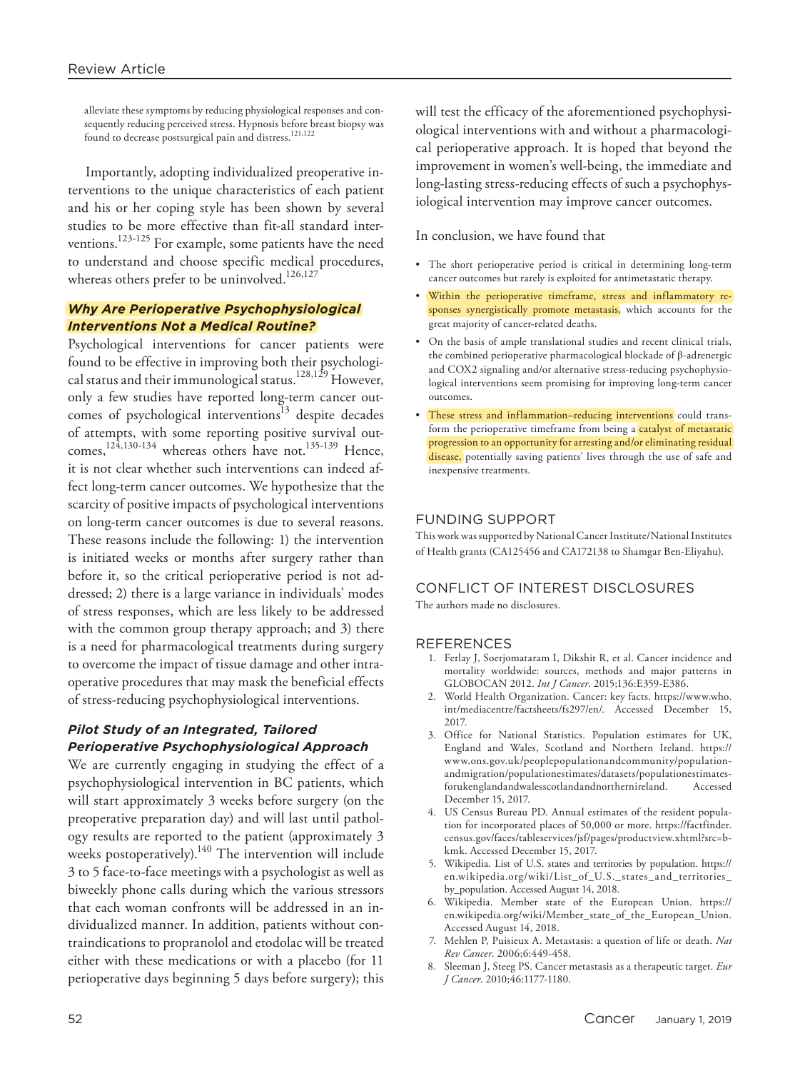alleviate these symptoms by reducing physiological responses and consequently reducing perceived stress. Hypnosis before breast biopsy was found to decrease postsurgical pain and distress.<sup>121,122</sup>

Importantly, adopting individualized preoperative interventions to the unique characteristics of each patient and his or her coping style has been shown by several studies to be more effective than fit-all standard interventions.123-125 For example, some patients have the need to understand and choose specific medical procedures, whereas others prefer to be uninvolved.<sup>126,127</sup>

### *Why Are Perioperative Psychophysiological Interventions Not a Medical Routine?*

Psychological interventions for cancer patients were found to be effective in improving both their psychological status and their immunological status.128,129 However, only a few studies have reported long-term cancer outcomes of psychological interventions $13$  despite decades of attempts, with some reporting positive survival outcomes,<sup>124,130-134</sup> whereas others have not.<sup>135-139</sup> Hence, it is not clear whether such interventions can indeed affect long-term cancer outcomes. We hypothesize that the scarcity of positive impacts of psychological interventions on long-term cancer outcomes is due to several reasons. These reasons include the following: 1) the intervention is initiated weeks or months after surgery rather than before it, so the critical perioperative period is not addressed; 2) there is a large variance in individuals' modes of stress responses, which are less likely to be addressed with the common group therapy approach; and 3) there is a need for pharmacological treatments during surgery to overcome the impact of tissue damage and other intraoperative procedures that may mask the beneficial effects of stress-reducing psychophysiological interventions.

## *Pilot Study of an Integrated, Tailored Perioperative Psychophysiological Approach*

We are currently engaging in studying the effect of a psychophysiological intervention in BC patients, which will start approximately 3 weeks before surgery (on the preoperative preparation day) and will last until pathology results are reported to the patient (approximately 3 weeks postoperatively).<sup>140</sup> The intervention will include 3 to 5 face-to-face meetings with a psychologist as well as biweekly phone calls during which the various stressors that each woman confronts will be addressed in an individualized manner. In addition, patients without contraindications to propranolol and etodolac will be treated either with these medications or with a placebo (for 11 perioperative days beginning 5 days before surgery); this

will test the efficacy of the aforementioned psychophysiological interventions with and without a pharmacological perioperative approach. It is hoped that beyond the improvement in women's well-being, the immediate and long-lasting stress-reducing effects of such a psychophysiological intervention may improve cancer outcomes.

In conclusion, we have found that

- The short perioperative period is critical in determining long-term cancer outcomes but rarely is exploited for antimetastatic therapy.
- Within the perioperative timeframe, stress and inflammatory responses synergistically promote metastasis, which accounts for the great majority of cancer-related deaths.
- On the basis of ample translational studies and recent clinical trials, the combined perioperative pharmacological blockade of β-adrenergic and COX2 signaling and/or alternative stress-reducing psychophysiological interventions seem promising for improving long-term cancer outcomes.
- These stress and inflammation–reducing interventions could transform the perioperative timeframe from being a catalyst of metastatic progression to an opportunity for arresting and/or eliminating residual disease, potentially saving patients' lives through the use of safe and inexpensive treatments.

#### FUNDING SUPPORT

This work was supported by National Cancer Institute/National Institutes of Health grants (CA125456 and CA172138 to Shamgar Ben-Eliyahu).

# CONFLICT OF INTEREST DISCLOSURES

The authors made no disclosures.

#### **REFERENCES**

- 1. Ferlay J, Soerjomataram I, Dikshit R, et al. Cancer incidence and mortality worldwide: sources, methods and major patterns in GLOBOCAN 2012. *Int J Cancer*. 2015;136:E359-E386.
- 2. World Health Organization. Cancer: key facts. [https://www.who.](https://www.who.int/mediacentre/factsheets/fs297/en/) [int/mediacentre/factsheets/fs297/en/](https://www.who.int/mediacentre/factsheets/fs297/en/). Accessed December 15, 2017.
- 3. Office for National Statistics. Population estimates for UK, England and Wales, Scotland and Northern Ireland. [https://](https://www.ons.gov.uk/peoplepopulationandcommunity/populationandmigration/populationestimates/datasets/populationestimatesforukenglandandwalesscotlandandnorthernireland) [www.ons.gov.uk/peoplepopulationandcommunity/population](https://www.ons.gov.uk/peoplepopulationandcommunity/populationandmigration/populationestimates/datasets/populationestimatesforukenglandandwalesscotlandandnorthernireland)[andmigration/populationestimates/datasets/populationestimates](https://www.ons.gov.uk/peoplepopulationandcommunity/populationandmigration/populationestimates/datasets/populationestimatesforukenglandandwalesscotlandandnorthernireland)[forukenglandandwalesscotlandandnorthernireland](https://www.ons.gov.uk/peoplepopulationandcommunity/populationandmigration/populationestimates/datasets/populationestimatesforukenglandandwalesscotlandandnorthernireland). Accessed December 15, 2017.
- 4. US Census Bureau PD. Annual estimates of the resident population for incorporated places of 50,000 or more. [https://factfinder.](https://factfinder.census.gov/faces/tableservices/jsf/pages/productview.xhtml?src=bkmk) [census.gov/faces/tableservices/jsf/pages/productview.xhtml?src=b](https://factfinder.census.gov/faces/tableservices/jsf/pages/productview.xhtml?src=bkmk)[kmk.](https://factfinder.census.gov/faces/tableservices/jsf/pages/productview.xhtml?src=bkmk) Accessed December 15, 2017.
- 5. Wikipedia. List of U.S. states and territories by population. [https://](https://en.wikipedia.org/wiki/List_of_U.S._states_and_territories_by_) [en.wikipedia.org/wiki/List\\_of\\_U.S.\\_states\\_and\\_territories\\_](https://en.wikipedia.org/wiki/List_of_U.S._states_and_territories_by_) [by\\_](https://en.wikipedia.org/wiki/List_of_U.S._states_and_territories_by_)<population>. Accessed August 14, 2018.
- 6. Wikipedia. Member state of the European Union. [https://](https://en.wikipedia.org/wiki/Member_state_of_the_European_) [en.wikipedia.org/wiki/Member\\_state\\_of\\_the\\_European\\_](https://en.wikipedia.org/wiki/Member_state_of_the_European_)<Union>. Accessed August 14, 2018.
- 7. Mehlen P, Puisieux A. Metastasis: a question of life or death. *Nat Rev Cancer*. 2006;6:449-458.
- 8. Sleeman J, Steeg PS. Cancer metastasis as a therapeutic target. *Eur J Cancer*. 2010;46:1177-1180.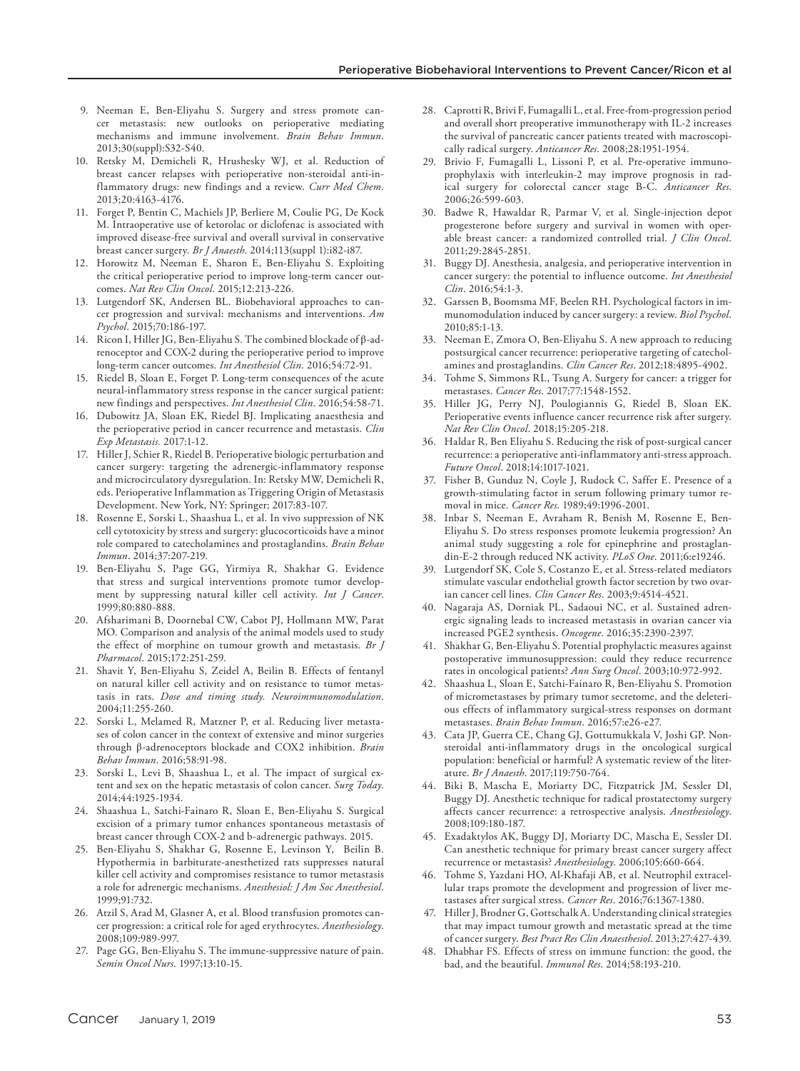- 9. Neeman E, Ben-Eliyahu S. Surgery and stress promote cancer metastasis: new outlooks on perioperative mediating mechanisms and immune involvement. *Brain Behav Immun*. 2013;30(suppl):S32-S40.
- 10. Retsky M, Demicheli R, Hrushesky WJ, et al. Reduction of breast cancer relapses with perioperative non-steroidal anti-inflammatory drugs: new findings and a review. *Curr Med Chem*. 2013;20:4163-4176.
- 11. Forget P, Bentin C, Machiels JP, Berliere M, Coulie PG, De Kock M. Intraoperative use of ketorolac or diclofenac is associated with improved disease-free survival and overall survival in conservative breast cancer surgery. *Br J Anaesth*. 2014;113(suppl 1):i82-i87.
- 12. Horowitz M, Neeman E, Sharon E, Ben-Eliyahu S. Exploiting the critical perioperative period to improve long-term cancer outcomes. *Nat Rev Clin Oncol*. 2015;12:213-226.
- 13. Lutgendorf SK, Andersen BL. Biobehavioral approaches to cancer progression and survival: mechanisms and interventions. *Am Psychol*. 2015;70:186-197.
- 14. Ricon I, Hiller JG, Ben-Eliyahu S. The combined blockade of β-adrenoceptor and COX-2 during the perioperative period to improve long-term cancer outcomes. *Int Anesthesiol Clin*. 2016;54:72-91.
- 15. Riedel B, Sloan E, Forget P. Long-term consequences of the acute neural-inflammatory stress response in the cancer surgical patient: new findings and perspectives. *Int Anesthesiol Clin*. 2016;54:58-71.
- 16. Dubowitz JA, Sloan EK, Riedel BJ. Implicating anaesthesia and the perioperative period in cancer recurrence and metastasis. *Clin Exp Metastasis.* 2017:1-12.
- 17. Hiller J, Schier R, Riedel B. Perioperative biologic perturbation and cancer surgery: targeting the adrenergic-inflammatory response and microcirculatory dysregulation. In: Retsky MW, Demicheli R, eds. Perioperative Inflammation as Triggering Origin of Metastasis Development. New York, NY: Springer; 2017:83-107.
- 18. Rosenne E, Sorski L, Shaashua L, et al. In vivo suppression of NK cell cytotoxicity by stress and surgery: glucocorticoids have a minor role compared to catecholamines and prostaglandins. *Brain Behav Immun*. 2014;37:207-219.
- 19. Ben-Eliyahu S, Page GG, Yirmiya R, Shakhar G. Evidence that stress and surgical interventions promote tumor development by suppressing natural killer cell activity. *Int J Cancer*. 1999;80:880-888.
- 20. Afsharimani B, Doornebal CW, Cabot PJ, Hollmann MW, Parat MO. Comparison and analysis of the animal models used to study the effect of morphine on tumour growth and metastasis. *Br J Pharmacol*. 2015;172:251-259.
- 21. Shavit Y, Ben-Eliyahu S, Zeidel A, Beilin B. Effects of fentanyl on natural killer cell activity and on resistance to tumor metastasis in rats. *Dose and timing study. Neuroimmunomodulation*. 2004;11:255-260.
- 22. Sorski L, Melamed R, Matzner P, et al. Reducing liver metastases of colon cancer in the context of extensive and minor surgeries through β-adrenoceptors blockade and COX2 inhibition. *Brain Behav Immun*. 2016;58:91-98.
- 23. Sorski L, Levi B, Shaashua L, et al. The impact of surgical extent and sex on the hepatic metastasis of colon cancer. *Surg Today*. 2014;44:1925-1934.
- 24. Shaashua L, Satchi-Fainaro R, Sloan E, Ben-Eliyahu S. Surgical excision of a primary tumor enhances spontaneous metastasis of breast cancer through COX-2 and b-adrenergic pathways. 2015.
- 25. Ben-Eliyahu S, Shakhar G, Rosenne E, Levinson Y, Beilin B. Hypothermia in barbiturate-anesthetized rats suppresses natural killer cell activity and compromises resistance to tumor metastasis a role for adrenergic mechanisms. *Anesthesiol: J Am Soc Anesthesiol*. 1999;91:732.
- 26. Atzil S, Arad M, Glasner A, et al. Blood transfusion promotes cancer progression: a critical role for aged erythrocytes. *Anesthesiology*. 2008;109:989-997.
- 27. Page GG, Ben-Eliyahu S. The immune-suppressive nature of pain. *Semin Oncol Nurs*. 1997;13:10-15.
- 28. Caprotti R, Brivi F, Fumagalli L, et al. Free-from-progression period and overall short preoperative immunotherapy with IL-2 increases the survival of pancreatic cancer patients treated with macroscopically radical surgery. *Anticancer Res*. 2008;28:1951-1954.
- 29. Brivio F, Fumagalli L, Lissoni P, et al. Pre-operative immunoprophylaxis with interleukin-2 may improve prognosis in radical surgery for colorectal cancer stage B-C. *Anticancer Res*. 2006;26:599-603.
- 30. Badwe R, Hawaldar R, Parmar V, et al. Single-injection depot progesterone before surgery and survival in women with operable breast cancer: a randomized controlled trial. *J Clin Oncol*. 2011;29:2845-2851.
- 31. Buggy DJ. Anesthesia, analgesia, and perioperative intervention in cancer surgery: the potential to influence outcome. *Int Anesthesiol Clin*. 2016;54:1-3.
- 32. Garssen B, Boomsma MF, Beelen RH. Psychological factors in immunomodulation induced by cancer surgery: a review. *Biol Psychol*. 2010;85:1-13.
- 33. Neeman E, Zmora O, Ben-Eliyahu S. A new approach to reducing postsurgical cancer recurrence: perioperative targeting of catecholamines and prostaglandins. *Clin Cancer Res*. 2012;18:4895-4902.
- 34. Tohme S, Simmons RL, Tsung A. Surgery for cancer: a trigger for metastases. *Cancer Res*. 2017;77:1548-1552.
- 35. Hiller JG, Perry NJ, Poulogiannis G, Riedel B, Sloan EK. Perioperative events influence cancer recurrence risk after surgery. *Nat Rev Clin Oncol*. 2018;15:205-218.
- 36. Haldar R, Ben Eliyahu S. Reducing the risk of post-surgical cancer recurrence: a perioperative anti-inflammatory anti-stress approach. *Future Oncol*. 2018;14:1017-1021.
- 37. Fisher B, Gunduz N, Coyle J, Rudock C, Saffer E. Presence of a growth-stimulating factor in serum following primary tumor removal in mice. *Cancer Res*. 1989;49:1996-2001.
- 38. Inbar S, Neeman E, Avraham R, Benish M, Rosenne E, Ben-Eliyahu S. Do stress responses promote leukemia progression? An animal study suggesting a role for epinephrine and prostaglandin-E-2 through reduced NK activity. *PLoS One*. 2011;6:e19246.
- 39. Lutgendorf SK, Cole S, Costanzo E, et al. Stress-related mediators stimulate vascular endothelial growth factor secretion by two ovarian cancer cell lines. *Clin Cancer Res*. 2003;9:4514-4521.
- 40. Nagaraja AS, Dorniak PL, Sadaoui NC, et al. Sustained adrenergic signaling leads to increased metastasis in ovarian cancer via increased PGE2 synthesis. *Oncogene*. 2016;35:2390-2397.
- 41. Shakhar G, Ben-Eliyahu S. Potential prophylactic measures against postoperative immunosuppression: could they reduce recurrence rates in oncological patients? *Ann Surg Oncol*. 2003;10:972-992.
- 42. Shaashua L, Sloan E, Satchi-Fainaro R, Ben-Eliyahu S. Promotion of micrometastases by primary tumor secretome, and the deleterious effects of inflammatory surgical-stress responses on dormant metastases. *Brain Behav Immun*. 2016;57:e26-e27.
- 43. Cata JP, Guerra CE, Chang GJ, Gottumukkala V, Joshi GP. Nonsteroidal anti-inflammatory drugs in the oncological surgical population: beneficial or harmful? A systematic review of the literature. *Br J Anaesth*. 2017;119:750-764.
- 44. Biki B, Mascha E, Moriarty DC, Fitzpatrick JM, Sessler DI, Buggy DJ. Anesthetic technique for radical prostatectomy surgery affects cancer recurrence: a retrospective analysis. *Anesthesiology*. 2008;109:180-187.
- 45. Exadaktylos AK, Buggy DJ, Moriarty DC, Mascha E, Sessler DI. Can anesthetic technique for primary breast cancer surgery affect recurrence or metastasis? *Anesthesiology*. 2006;105:660-664.
- 46. Tohme S, Yazdani HO, Al-Khafaji AB, et al. Neutrophil extracellular traps promote the development and progression of liver metastases after surgical stress. *Cancer Res*. 2016;76:1367-1380.
- 47. Hiller J, Brodner G, Gottschalk A. Understanding clinical strategies that may impact tumour growth and metastatic spread at the time of cancer surgery. *Best Pract Res Clin Anaesthesiol*. 2013;27:427-439.
- 48. Dhabhar FS. Effects of stress on immune function: the good, the bad, and the beautiful. *Immunol Res*. 2014;58:193-210.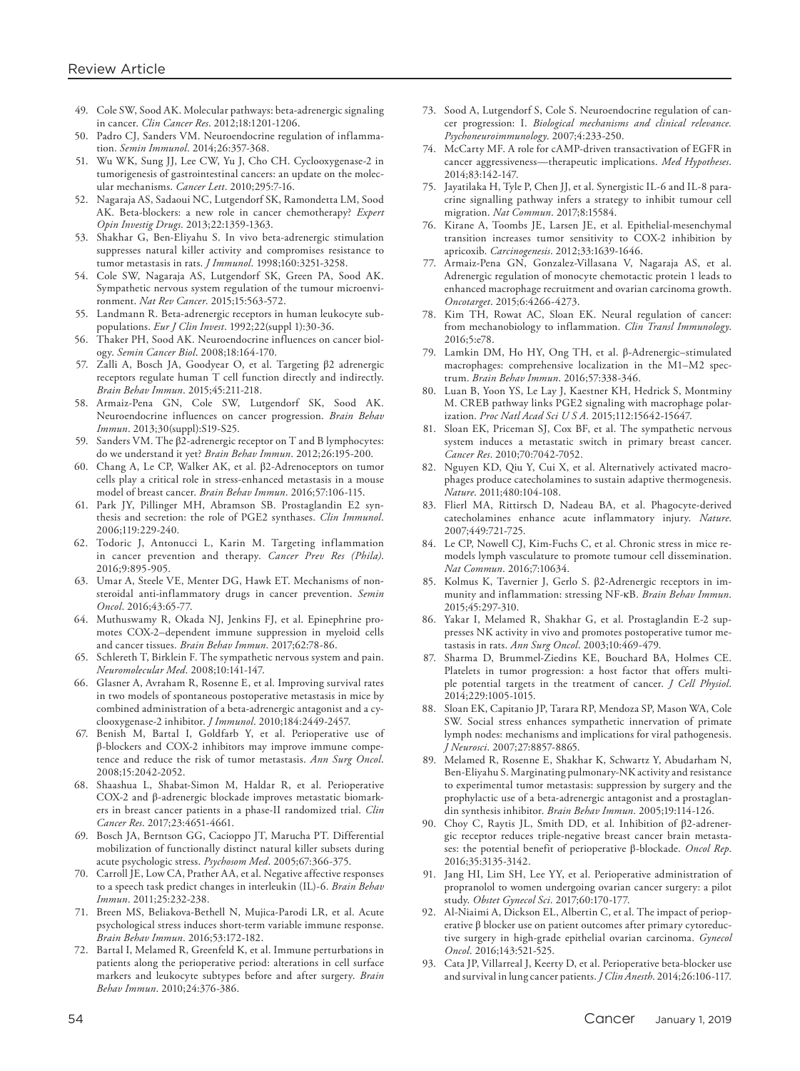- 49. Cole SW, Sood AK. Molecular pathways: beta-adrenergic signaling in cancer. *Clin Cancer Res*. 2012;18:1201-1206.
- 50. Padro CJ, Sanders VM. Neuroendocrine regulation of inflammation. *Semin Immunol*. 2014;26:357-368.
- 51. Wu WK, Sung JJ, Lee CW, Yu J, Cho CH. Cyclooxygenase-2 in tumorigenesis of gastrointestinal cancers: an update on the molecular mechanisms. *Cancer Lett*. 2010;295:7-16.
- 52. Nagaraja AS, Sadaoui NC, Lutgendorf SK, Ramondetta LM, Sood AK. Beta-blockers: a new role in cancer chemotherapy? *Expert Opin Investig Drugs*. 2013;22:1359-1363.
- 53. Shakhar G, Ben-Eliyahu S. In vivo beta-adrenergic stimulation suppresses natural killer activity and compromises resistance to tumor metastasis in rats. *J Immunol*. 1998;160:3251-3258.
- 54. Cole SW, Nagaraja AS, Lutgendorf SK, Green PA, Sood AK. Sympathetic nervous system regulation of the tumour microenvironment. *Nat Rev Cancer*. 2015;15:563-572.
- 55. Landmann R. Beta-adrenergic receptors in human leukocyte subpopulations. *Eur J Clin Invest*. 1992;22(suppl 1):30-36.
- 56. Thaker PH, Sood AK. Neuroendocrine influences on cancer biology. *Semin Cancer Biol*. 2008;18:164-170.
- 57. Zalli A, Bosch JA, Goodyear O, et al. Targeting β2 adrenergic receptors regulate human T cell function directly and indirectly. *Brain Behav Immun*. 2015;45:211-218.
- 58. Armaiz-Pena GN, Cole SW, Lutgendorf SK, Sood AK. Neuroendocrine influences on cancer progression. *Brain Behav Immun*. 2013;30(suppl):S19-S25.
- 59. Sanders VM. The β2-adrenergic receptor on T and B lymphocytes: do we understand it yet? *Brain Behav Immun*. 2012;26:195-200.
- 60. Chang A, Le CP, Walker AK, et al. β2-Adrenoceptors on tumor cells play a critical role in stress-enhanced metastasis in a mouse model of breast cancer. *Brain Behav Immun*. 2016;57:106-115.
- 61. Park JY, Pillinger MH, Abramson SB. Prostaglandin E2 synthesis and secretion: the role of PGE2 synthases. *Clin Immunol*. 2006;119:229-240.
- 62. Todoric J, Antonucci L, Karin M. Targeting inflammation in cancer prevention and therapy. *Cancer Prev Res (Phila)*. 2016;9:895-905.
- 63. Umar A, Steele VE, Menter DG, Hawk ET. Mechanisms of nonsteroidal anti-inflammatory drugs in cancer prevention. *Semin Oncol*. 2016;43:65-77.
- 64. Muthuswamy R, Okada NJ, Jenkins FJ, et al. Epinephrine promotes COX-2–dependent immune suppression in myeloid cells and cancer tissues. *Brain Behav Immun*. 2017;62:78-86.
- 65. Schlereth T, Birklein F. The sympathetic nervous system and pain. *Neuromolecular Med*. 2008;10:141-147.
- 66. Glasner A, Avraham R, Rosenne E, et al. Improving survival rates in two models of spontaneous postoperative metastasis in mice by combined administration of a beta-adrenergic antagonist and a cyclooxygenase-2 inhibitor. *J Immunol*. 2010;184:2449-2457.
- 67. Benish M, Bartal I, Goldfarb Y, et al. Perioperative use of β-blockers and COX-2 inhibitors may improve immune competence and reduce the risk of tumor metastasis. *Ann Surg Oncol*. 2008;15:2042-2052.
- 68. Shaashua L, Shabat-Simon M, Haldar R, et al. Perioperative COX-2 and β-adrenergic blockade improves metastatic biomarkers in breast cancer patients in a phase-II randomized trial. *Clin Cancer Res*. 2017;23:4651-4661.
- 69. Bosch JA, Berntson GG, Cacioppo JT, Marucha PT. Differential mobilization of functionally distinct natural killer subsets during acute psychologic stress. *Psychosom Med*. 2005;67:366-375.
- 70. Carroll JE, Low CA, Prather AA, et al. Negative affective responses to a speech task predict changes in interleukin (IL)-6. *Brain Behav Immun*. 2011;25:232-238.
- 71. Breen MS, Beliakova-Bethell N, Mujica-Parodi LR, et al. Acute psychological stress induces short-term variable immune response. *Brain Behav Immun*. 2016;53:172-182.
- 72. Bartal I, Melamed R, Greenfeld K, et al. Immune perturbations in patients along the perioperative period: alterations in cell surface markers and leukocyte subtypes before and after surgery. *Brain Behav Immun*. 2010;24:376-386.
- 73. Sood A, Lutgendorf S, Cole S. Neuroendocrine regulation of cancer progression: I. *Biological mechanisms and clinical relevance. Psychoneuroimmunology*. 2007;4:233-250.
- 74. McCarty MF. A role for cAMP-driven transactivation of EGFR in cancer aggressiveness—therapeutic implications. *Med Hypotheses*. 2014;83:142-147.
- 75. Jayatilaka H, Tyle P, Chen JJ, et al. Synergistic IL-6 and IL-8 paracrine signalling pathway infers a strategy to inhibit tumour cell migration. *Nat Commun*. 2017;8:15584.
- 76. Kirane A, Toombs JE, Larsen JE, et al. Epithelial-mesenchymal transition increases tumor sensitivity to COX-2 inhibition by apricoxib. *Carcinogenesis*. 2012;33:1639-1646.
- 77. Armaiz-Pena GN, Gonzalez-Villasana V, Nagaraja AS, et al. Adrenergic regulation of monocyte chemotactic protein 1 leads to enhanced macrophage recruitment and ovarian carcinoma growth. *Oncotarget*. 2015;6:4266-4273.
- 78. Kim TH, Rowat AC, Sloan EK. Neural regulation of cancer: from mechanobiology to inflammation. *Clin Transl Immunology*. 2016;5:e78.
- 79. Lamkin DM, Ho HY, Ong TH, et al. β-Adrenergic–stimulated macrophages: comprehensive localization in the M1–M2 spectrum. *Brain Behav Immun*. 2016;57:338-346.
- 80. Luan B, Yoon YS, Le Lay J, Kaestner KH, Hedrick S, Montminy M. CREB pathway links PGE2 signaling with macrophage polarization. *Proc Natl Acad Sci U S A*. 2015;112:15642-15647.
- 81. Sloan EK, Priceman SJ, Cox BF, et al. The sympathetic nervous system induces a metastatic switch in primary breast cancer. *Cancer Res*. 2010;70:7042-7052.
- 82. Nguyen KD, Qiu Y, Cui X, et al. Alternatively activated macrophages produce catecholamines to sustain adaptive thermogenesis. *Nature*. 2011;480:104-108.
- 83. Flierl MA, Rittirsch D, Nadeau BA, et al. Phagocyte-derived catecholamines enhance acute inflammatory injury. *Nature*. 2007;449:721-725.
- 84. Le CP, Nowell CJ, Kim-Fuchs C, et al. Chronic stress in mice remodels lymph vasculature to promote tumour cell dissemination. *Nat Commun*. 2016;7:10634.
- 85. Kolmus K, Tavernier J, Gerlo S. β2-Adrenergic receptors in immunity and inflammation: stressing NF-κB. *Brain Behav Immun*. 2015;45:297-310.
- 86. Yakar I, Melamed R, Shakhar G, et al. Prostaglandin E-2 suppresses NK activity in vivo and promotes postoperative tumor metastasis in rats. *Ann Surg Oncol*. 2003;10:469-479.
- 87. Sharma D, Brummel-Ziedins KE, Bouchard BA, Holmes CE. Platelets in tumor progression: a host factor that offers multiple potential targets in the treatment of cancer. *J Cell Physiol*. 2014;229:1005-1015.
- 88. Sloan EK, Capitanio JP, Tarara RP, Mendoza SP, Mason WA, Cole SW. Social stress enhances sympathetic innervation of primate lymph nodes: mechanisms and implications for viral pathogenesis. *J Neurosci*. 2007;27:8857-8865.
- 89. Melamed R, Rosenne E, Shakhar K, Schwartz Y, Abudarham N, Ben-Eliyahu S. Marginating pulmonary-NK activity and resistance to experimental tumor metastasis: suppression by surgery and the prophylactic use of a beta-adrenergic antagonist and a prostaglandin synthesis inhibitor. *Brain Behav Immun*. 2005;19:114-126.
- 90. Choy C, Raytis JL, Smith DD, et al. Inhibition of β2-adrenergic receptor reduces triple-negative breast cancer brain metastases: the potential benefit of perioperative β-blockade. *Oncol Rep*. 2016;35:3135-3142.
- 91. Jang HI, Lim SH, Lee YY, et al. Perioperative administration of propranolol to women undergoing ovarian cancer surgery: a pilot study. *Obstet Gynecol Sci*. 2017;60:170-177.
- 92. Al-Niaimi A, Dickson EL, Albertin C, et al. The impact of perioperative β blocker use on patient outcomes after primary cytoreductive surgery in high-grade epithelial ovarian carcinoma. *Gynecol Oncol*. 2016;143:521-525.
- 93. Cata JP, Villarreal J, Keerty D, et al. Perioperative beta-blocker use and survival in lung cancer patients. *J Clin Anesth*. 2014;26:106-117.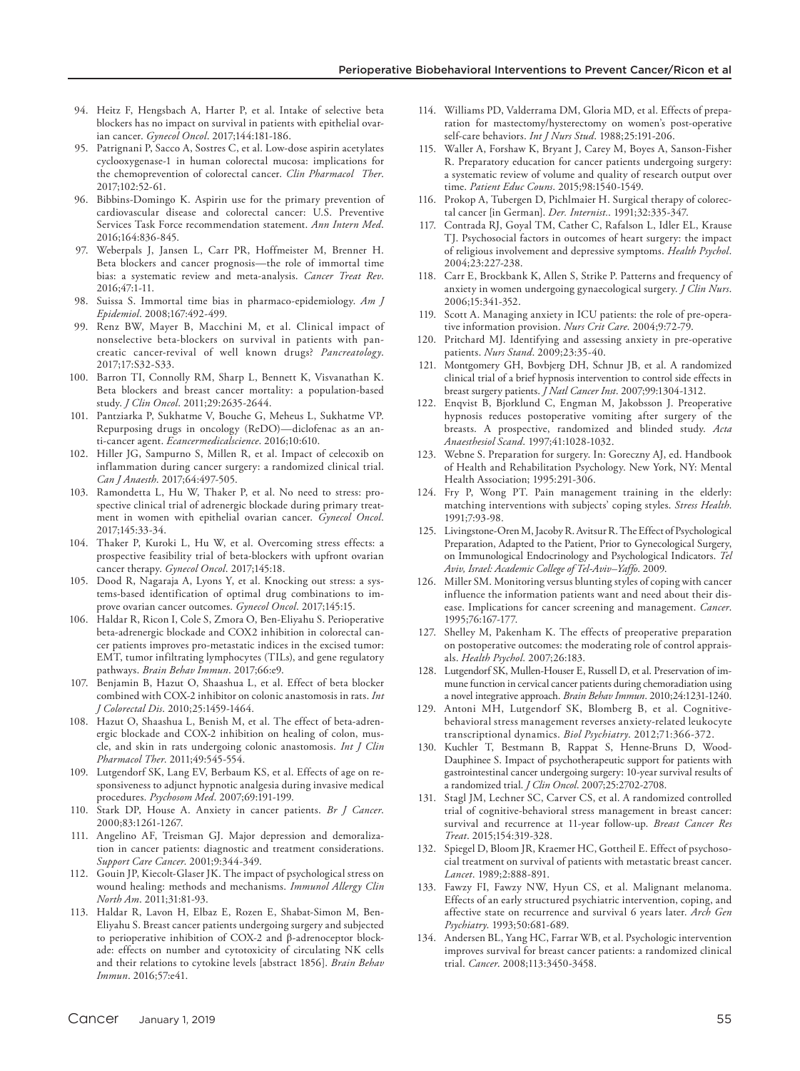- 94. Heitz F, Hengsbach A, Harter P, et al. Intake of selective beta blockers has no impact on survival in patients with epithelial ovarian cancer. *Gynecol Oncol*. 2017;144:181-186.
- 95. Patrignani P, Sacco A, Sostres C, et al. Low-dose aspirin acetylates cyclooxygenase-1 in human colorectal mucosa: implications for the chemoprevention of colorectal cancer. *Clin Pharmacol Ther*. 2017;102:52-61.
- 96. Bibbins-Domingo K. Aspirin use for the primary prevention of cardiovascular disease and colorectal cancer: U.S. Preventive Services Task Force recommendation statement. *Ann Intern Med*. 2016;164:836-845.
- 97. Weberpals J, Jansen L, Carr PR, Hoffmeister M, Brenner H. Beta blockers and cancer prognosis—the role of immortal time bias: a systematic review and meta-analysis. *Cancer Treat Rev*. 2016;47:1-11.
- 98. Suissa S. Immortal time bias in pharmaco-epidemiology. *Am J Epidemiol*. 2008;167:492-499.
- 99. Renz BW, Mayer B, Macchini M, et al. Clinical impact of nonselective beta-blockers on survival in patients with pancreatic cancer-revival of well known drugs? *Pancreatology*. 2017;17:S32-S33.
- 100. Barron TI, Connolly RM, Sharp L, Bennett K, Visvanathan K. Beta blockers and breast cancer mortality: a population-based study. *J Clin Oncol*. 2011;29:2635-2644.
- 101. Pantziarka P, Sukhatme V, Bouche G, Meheus L, Sukhatme VP. Repurposing drugs in oncology (ReDO)—diclofenac as an anti-cancer agent. *Ecancermedicalscience*. 2016;10:610.
- 102. Hiller JG, Sampurno S, Millen R, et al. Impact of celecoxib on inflammation during cancer surgery: a randomized clinical trial. *Can J Anaesth*. 2017;64:497-505.
- 103. Ramondetta L, Hu W, Thaker P, et al. No need to stress: prospective clinical trial of adrenergic blockade during primary treatment in women with epithelial ovarian cancer. *Gynecol Oncol*. 2017;145:33-34.
- 104. Thaker P, Kuroki L, Hu W, et al. Overcoming stress effects: a prospective feasibility trial of beta-blockers with upfront ovarian cancer therapy. *Gynecol Oncol*. 2017;145:18.
- 105. Dood R, Nagaraja A, Lyons Y, et al. Knocking out stress: a systems-based identification of optimal drug combinations to improve ovarian cancer outcomes. *Gynecol Oncol*. 2017;145:15.
- 106. Haldar R, Ricon I, Cole S, Zmora O, Ben-Eliyahu S. Perioperative beta-adrenergic blockade and COX2 inhibition in colorectal cancer patients improves pro-metastatic indices in the excised tumor: EMT, tumor infiltrating lymphocytes (TILs), and gene regulatory pathways. *Brain Behav Immun*. 2017;66:e9.
- 107. Benjamin B, Hazut O, Shaashua L, et al. Effect of beta blocker combined with COX-2 inhibitor on colonic anastomosis in rats. *Int J Colorectal Dis*. 2010;25:1459-1464.
- 108. Hazut O, Shaashua L, Benish M, et al. The effect of beta-adrenergic blockade and COX-2 inhibition on healing of colon, muscle, and skin in rats undergoing colonic anastomosis. *Int J Clin Pharmacol Ther*. 2011;49:545-554.
- 109. Lutgendorf SK, Lang EV, Berbaum KS, et al. Effects of age on responsiveness to adjunct hypnotic analgesia during invasive medical procedures. *Psychosom Med*. 2007;69:191-199.
- 110. Stark DP, House A. Anxiety in cancer patients. *Br J Cancer*. 2000;83:1261-1267.
- 111. Angelino AF, Treisman GJ. Major depression and demoralization in cancer patients: diagnostic and treatment considerations. *Support Care Cancer*. 2001;9:344-349.
- 112. Gouin JP, Kiecolt-Glaser JK. The impact of psychological stress on wound healing: methods and mechanisms. *Immunol Allergy Clin North Am*. 2011;31:81-93.
- 113. Haldar R, Lavon H, Elbaz E, Rozen E, Shabat-Simon M, Ben-Eliyahu S. Breast cancer patients undergoing surgery and subjected to perioperative inhibition of COX-2 and β-adrenoceptor blockade: effects on number and cytotoxicity of circulating NK cells and their relations to cytokine levels [abstract 1856]. *Brain Behav Immun*. 2016;57:e41.
- 114. Williams PD, Valderrama DM, Gloria MD, et al. Effects of preparation for mastectomy/hysterectomy on women's post-operative self-care behaviors. *Int J Nurs Stud*. 1988;25:191-206.
- 115. Waller A, Forshaw K, Bryant J, Carey M, Boyes A, Sanson-Fisher R. Preparatory education for cancer patients undergoing surgery: a systematic review of volume and quality of research output over time. *Patient Educ Couns*. 2015;98:1540-1549.
- 116. Prokop A, Tubergen D, Pichlmaier H. Surgical therapy of colorectal cancer [in German]. *Der. Internist.*. 1991;32:335-347.
- 117. Contrada RJ, Goyal TM, Cather C, Rafalson L, Idler EL, Krause TJ. Psychosocial factors in outcomes of heart surgery: the impact of religious involvement and depressive symptoms. *Health Psychol*. 2004;23:227-238.
- 118. Carr E, Brockbank K, Allen S, Strike P. Patterns and frequency of anxiety in women undergoing gynaecological surgery. *J Clin Nurs*. 2006;15:341-352.
- 119. Scott A. Managing anxiety in ICU patients: the role of pre-operative information provision. *Nurs Crit Care*. 2004;9:72-79.
- 120. Pritchard MJ. Identifying and assessing anxiety in pre-operative patients. *Nurs Stand*. 2009;23:35-40.
- 121. Montgomery GH, Bovbjerg DH, Schnur JB, et al. A randomized clinical trial of a brief hypnosis intervention to control side effects in breast surgery patients. *J Natl Cancer Inst*. 2007;99:1304-1312.
- 122. Enqvist B, Bjorklund C, Engman M, Jakobsson J. Preoperative hypnosis reduces postoperative vomiting after surgery of the breasts. A prospective, randomized and blinded study. *Acta Anaesthesiol Scand*. 1997;41:1028-1032.
- 123. Webne S. Preparation for surgery. In: Goreczny AJ, ed. Handbook of Health and Rehabilitation Psychology. New York, NY: Mental Health Association; 1995:291-306.
- 124. Fry P, Wong PT. Pain management training in the elderly: matching interventions with subjects' coping styles. *Stress Health*. 1991;7:93-98.
- 125. Livingstone-Oren M, Jacoby R. Avitsur R. The Effect of Psychological Preparation, Adapted to the Patient, Prior to Gynecological Surgery, on Immunological Endocrinology and Psychological Indicators. *Tel Aviv, Israel: Academic College of Tel-Aviv–Yaffo*. 2009.
- 126. Miller SM. Monitoring versus blunting styles of coping with cancer influence the information patients want and need about their disease. Implications for cancer screening and management. *Cancer*. 1995;76:167-177.
- 127. Shelley M, Pakenham K. The effects of preoperative preparation on postoperative outcomes: the moderating role of control appraisals. *Health Psychol*. 2007;26:183.
- 128. Lutgendorf SK, Mullen-Houser E, Russell D, et al. Preservation of immune function in cervical cancer patients during chemoradiation using a novel integrative approach. *Brain Behav Immun*. 2010;24:1231-1240.
- 129. Antoni MH, Lutgendorf SK, Blomberg B, et al. Cognitivebehavioral stress management reverses anxiety-related leukocyte transcriptional dynamics. *Biol Psychiatry*. 2012;71:366-372.
- 130. Kuchler T, Bestmann B, Rappat S, Henne-Bruns D, Wood-Dauphinee S. Impact of psychotherapeutic support for patients with gastrointestinal cancer undergoing surgery: 10-year survival results of a randomized trial. *J Clin Oncol*. 2007;25:2702-2708.
- 131. Stagl JM, Lechner SC, Carver CS, et al. A randomized controlled trial of cognitive-behavioral stress management in breast cancer: survival and recurrence at 11-year follow-up. *Breast Cancer Res Treat*. 2015;154:319-328.
- 132. Spiegel D, Bloom JR, Kraemer HC, Gottheil E. Effect of psychosocial treatment on survival of patients with metastatic breast cancer. *Lancet*. 1989;2:888-891.
- 133. Fawzy FI, Fawzy NW, Hyun CS, et al. Malignant melanoma. Effects of an early structured psychiatric intervention, coping, and affective state on recurrence and survival 6 years later. *Arch Gen Psychiatry*. 1993;50:681-689.
- 134. Andersen BL, Yang HC, Farrar WB, et al. Psychologic intervention improves survival for breast cancer patients: a randomized clinical trial. *Cancer*. 2008;113:3450-3458.